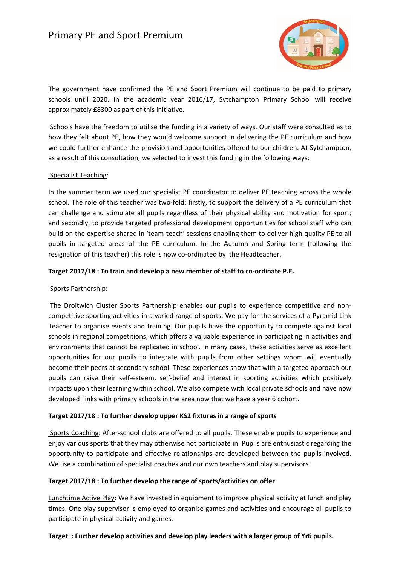# Primary PE and Sport Premium



The government have confirmed the PE and Sport Premium will continue to be paid to primary schools until 2020. In the academic year 2016/17, Sytchampton Primary School will receive approximately £8300 as part of this initiative.

 Schools have the freedom to utilise the funding in a variety of ways. Our staff were consulted as to how they felt about PE, how they would welcome support in delivering the PE curriculum and how we could further enhance the provision and opportunities offered to our children. At Sytchampton, as a result of this consultation, we selected to invest this funding in the following ways:

#### Specialist Teaching:

In the summer term we used our specialist PE coordinator to deliver PE teaching across the whole school. The role of this teacher was two-fold: firstly, to support the delivery of a PE curriculum that can challenge and stimulate all pupils regardless of their physical ability and motivation for sport; and secondly, to provide targeted professional development opportunities for school staff who can build on the expertise shared in 'team-teach' sessions enabling them to deliver high quality PE to all pupils in targeted areas of the PE curriculum. In the Autumn and Spring term (following the resignation of this teacher) this role is now co-ordinated by the Headteacher.

### **Target 2017/18 : To train and develop a new member of staff to co-ordinate P.E.**

#### Sports Partnership:

 The Droitwich Cluster Sports Partnership enables our pupils to experience competitive and noncompetitive sporting activities in a varied range of sports. We pay for the services of a Pyramid Link Teacher to organise events and training. Our pupils have the opportunity to compete against local schools in regional competitions, which offers a valuable experience in participating in activities and environments that cannot be replicated in school. In many cases, these activities serve as excellent opportunities for our pupils to integrate with pupils from other settings whom will eventually become their peers at secondary school. These experiences show that with a targeted approach our pupils can raise their self-esteem, self-belief and interest in sporting activities which positively impacts upon their learning within school. We also compete with local private schools and have now developed links with primary schools in the area now that we have a year 6 cohort.

## **Target 2017/18 : To further develop upper KS2 fixtures in a range of sports**

 Sports Coaching: After-school clubs are offered to all pupils. These enable pupils to experience and enjoy various sports that they may otherwise not participate in. Pupils are enthusiastic regarding the opportunity to participate and effective relationships are developed between the pupils involved. We use a combination of specialist coaches and our own teachers and play supervisors.

#### **Target 2017/18 : To further develop the range of sports/activities on offer**

Lunchtime Active Play: We have invested in equipment to improve physical activity at lunch and play times. One play supervisor is employed to organise games and activities and encourage all pupils to participate in physical activity and games.

#### **Target : Further develop activities and develop play leaders with a larger group of Yr6 pupils.**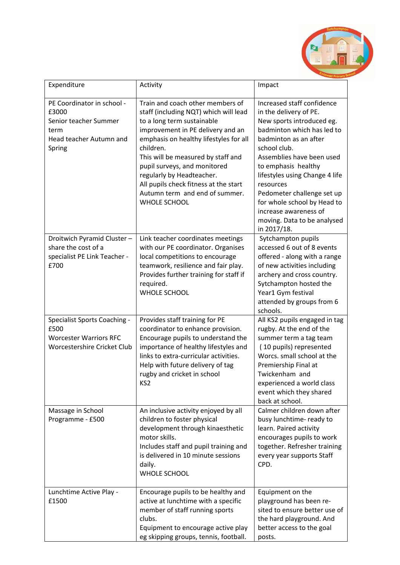

| Expenditure                                                                                                 | Activity                                                                                                                                                                                                                                                                                                                                                                                                 | Impact                                                                                                                                                                                                                                                                                                                                                                                          |
|-------------------------------------------------------------------------------------------------------------|----------------------------------------------------------------------------------------------------------------------------------------------------------------------------------------------------------------------------------------------------------------------------------------------------------------------------------------------------------------------------------------------------------|-------------------------------------------------------------------------------------------------------------------------------------------------------------------------------------------------------------------------------------------------------------------------------------------------------------------------------------------------------------------------------------------------|
| PE Coordinator in school -<br>£3000<br>Senior teacher Summer<br>term<br>Head teacher Autumn and<br>Spring   | Train and coach other members of<br>staff (including NQT) which will lead<br>to a long term sustainable<br>improvement in PE delivery and an<br>emphasis on healthy lifestyles for all<br>children.<br>This will be measured by staff and<br>pupil surveys, and monitored<br>regularly by Headteacher.<br>All pupils check fitness at the start<br>Autumn term and end of summer.<br><b>WHOLE SCHOOL</b> | Increased staff confidence<br>in the delivery of PE.<br>New sports introduced eg.<br>badminton which has led to<br>badminton as an after<br>school club.<br>Assemblies have been used<br>to emphasis healthy<br>lifestyles using Change 4 life<br>resources<br>Pedometer challenge set up<br>for whole school by Head to<br>increase awareness of<br>moving. Data to be analysed<br>in 2017/18. |
| Droitwich Pyramid Cluster-<br>share the cost of a<br>specialist PE Link Teacher -<br>£700                   | Link teacher coordinates meetings<br>with our PE coordinator. Organises<br>local competitions to encourage<br>teamwork, resilience and fair play.<br>Provides further training for staff if<br>required.<br><b>WHOLE SCHOOL</b>                                                                                                                                                                          | Sytchampton pupils<br>accessed 6 out of 8 events<br>offered - along with a range<br>of new activities including<br>archery and cross country.<br>Sytchampton hosted the<br>Year1 Gym festival<br>attended by groups from 6<br>schools.                                                                                                                                                          |
| <b>Specialist Sports Coaching -</b><br>£500<br><b>Worcester Warriors RFC</b><br>Worcestershire Cricket Club | Provides staff training for PE<br>coordinator to enhance provision.<br>Encourage pupils to understand the<br>importance of healthy lifestyles and<br>links to extra-curricular activities.<br>Help with future delivery of tag<br>rugby and cricket in school<br>KS <sub>2</sub>                                                                                                                         | All KS2 pupils engaged in tag<br>rugby. At the end of the<br>summer term a tag team<br>(10 pupils) represented<br>Worcs. small school at the<br>Premiership Final at<br>Twickenham and<br>experienced a world class<br>event which they shared<br>back at school.                                                                                                                               |
| Massage in School<br>Programme - £500                                                                       | An inclusive activity enjoyed by all<br>children to foster physical<br>development through kinaesthetic<br>motor skills.<br>Includes staff and pupil training and<br>is delivered in 10 minute sessions<br>daily.<br><b>WHOLE SCHOOL</b>                                                                                                                                                                 | Calmer children down after<br>busy lunchtime- ready to<br>learn. Paired activity<br>encourages pupils to work<br>together. Refresher training<br>every year supports Staff<br>CPD.                                                                                                                                                                                                              |
| Lunchtime Active Play -<br>£1500                                                                            | Encourage pupils to be healthy and<br>active at lunchtime with a specific<br>member of staff running sports<br>clubs.<br>Equipment to encourage active play<br>eg skipping groups, tennis, football.                                                                                                                                                                                                     | Equipment on the<br>playground has been re-<br>sited to ensure better use of<br>the hard playground. And<br>better access to the goal<br>posts.                                                                                                                                                                                                                                                 |